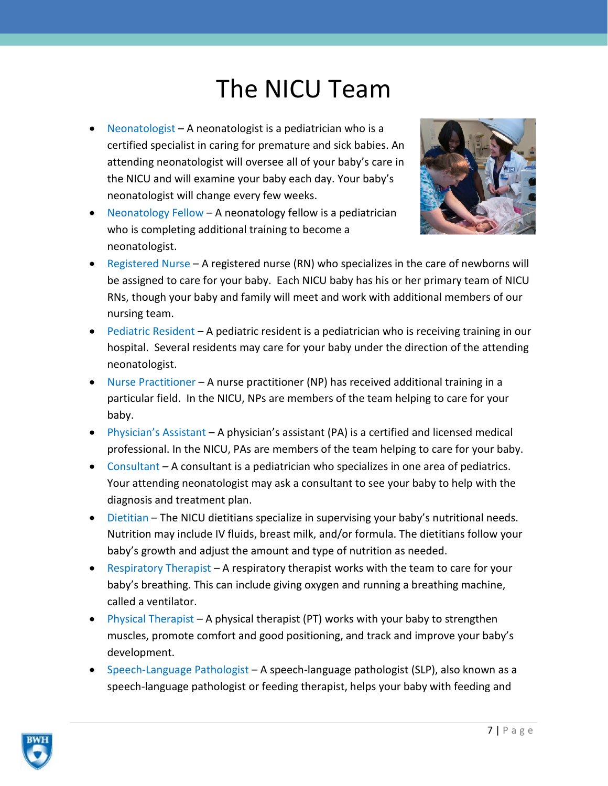## The NICU Team

- Neonatologist A neonatologist is a pediatrician who is a certified specialist in caring for premature and sick babies. An attending neonatologist will oversee all of your baby's care in the NICU and will examine your baby each day. Your baby's neonatologist will change every few weeks.
- Neonatology Fellow A neonatology fellow is a pediatrician who is completing additional training to become a neonatologist.



- Registered Nurse A registered nurse (RN) who specializes in the care of newborns will be assigned to care for your baby. Each NICU baby has his or her primary team of NICU RNs, though your baby and family will meet and work with additional members of our nursing team.
- Pediatric Resident A pediatric resident is a pediatrician who is receiving training in our hospital. Several residents may care for your baby under the direction of the attending neonatologist.
- Nurse Practitioner A nurse practitioner (NP) has received additional training in a particular field. In the NICU, NPs are members of the team helping to care for your baby.
- Physician's Assistant A physician's assistant (PA) is a certified and licensed medical professional. In the NICU, PAs are members of the team helping to care for your baby.
- Consultant A consultant is a pediatrician who specializes in one area of pediatrics. Your attending neonatologist may ask a consultant to see your baby to help with the diagnosis and treatment plan.
- Dietitian The NICU dietitians specialize in supervising your baby's nutritional needs. Nutrition may include IV fluids, breast milk, and/or formula. The dietitians follow your baby's growth and adjust the amount and type of nutrition as needed.
- Respiratory Therapist A respiratory therapist works with the team to care for your baby's breathing. This can include giving oxygen and running a breathing machine, called a ventilator.
- Physical Therapist A physical therapist (PT) works with your baby to strengthen muscles, promote comfort and good positioning, and track and improve your baby's development.
- Speech-Language Pathologist A speech-language pathologist (SLP), also known as a speech-language pathologist or feeding therapist, helps your baby with feeding and